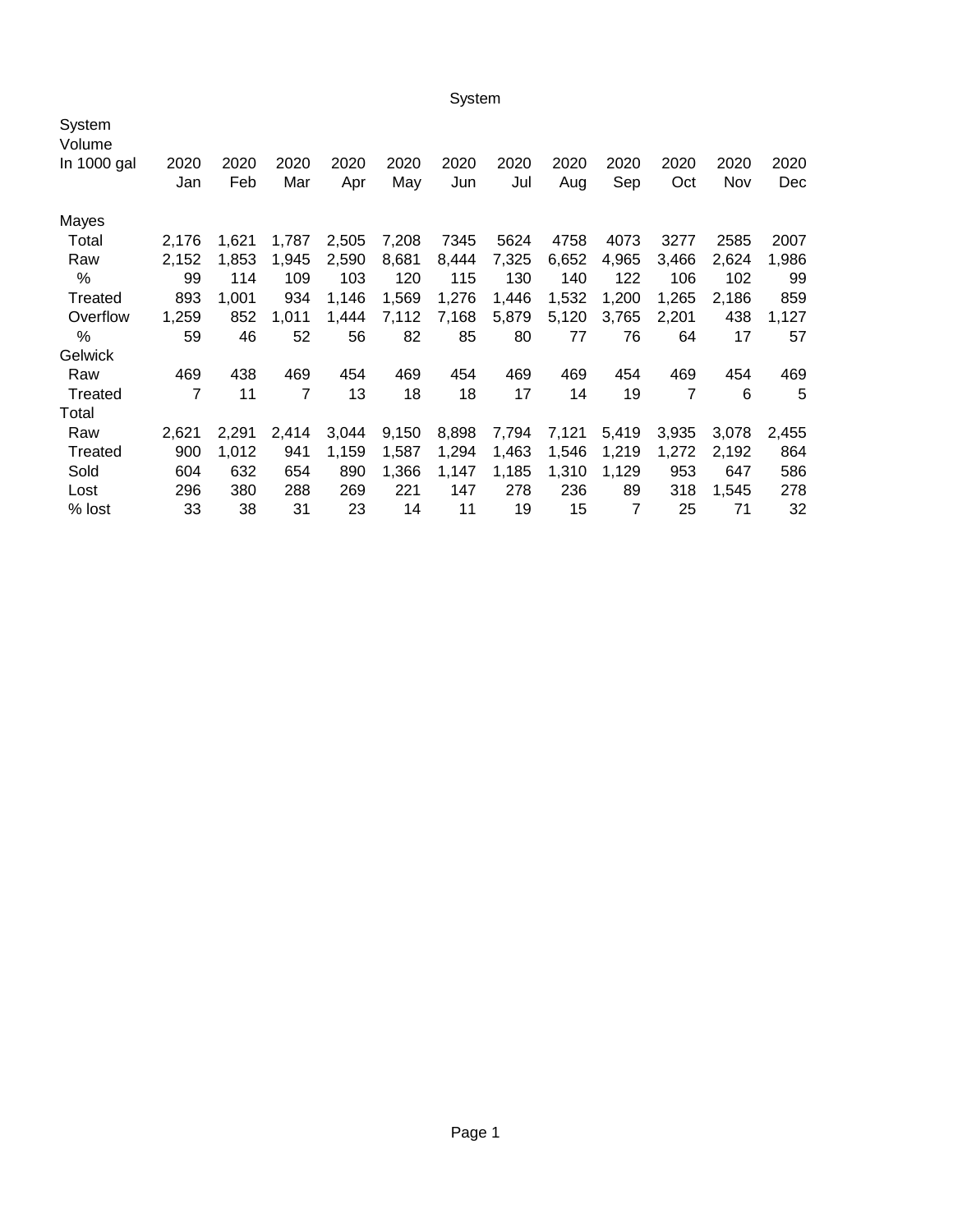System

| System<br>Volume |             |             |             |             |             |             |             |             |             |             |             |             |
|------------------|-------------|-------------|-------------|-------------|-------------|-------------|-------------|-------------|-------------|-------------|-------------|-------------|
| In 1000 gal      | 2020<br>Jan | 2020<br>Feb | 2020<br>Mar | 2020<br>Apr | 2020<br>May | 2020<br>Jun | 2020<br>Jul | 2020<br>Aug | 2020<br>Sep | 2020<br>Oct | 2020<br>Nov | 2020<br>Dec |
| Mayes            |             |             |             |             |             |             |             |             |             |             |             |             |
| Total            | 2,176       | 1,621       | 1,787       | 2,505       | 7,208       | 7345        | 5624        | 4758        | 4073        | 3277        | 2585        | 2007        |
| Raw              | 2,152       | 1,853       | 1,945       | 2,590       | 8,681       | 8,444       | 7,325       | 6,652       | 4,965       | 3,466       | 2,624       | 1,986       |
| %                | 99          | 114         | 109         | 103         | 120         | 115         | 130         | 140         | 122         | 106         | 102         | 99          |
| Treated          | 893         | 1,001       | 934         | 1,146       | 1,569       | 1,276       | 1,446       | 1,532       | 1,200       | 1,265       | 2,186       | 859         |
| Overflow         | 1,259       | 852         | 1,011       | 1,444       | 7,112       | 7,168       | 5,879       | 5,120       | 3,765       | 2,201       | 438         | 1,127       |
| %                | 59          | 46          | 52          | 56          | 82          | 85          | 80          | 77          | 76          | 64          | 17          | 57          |
| Gelwick          |             |             |             |             |             |             |             |             |             |             |             |             |
| Raw              | 469         | 438         | 469         | 454         | 469         | 454         | 469         | 469         | 454         | 469         | 454         | 469         |
| Treated          | 7           | 11          | 7           | 13          | 18          | 18          | 17          | 14          | 19          | 7           | 6           | 5           |
| Total            |             |             |             |             |             |             |             |             |             |             |             |             |
| Raw              | 2,621       | 2,291       | 2,414       | 3,044       | 9,150       | 8,898       | 7,794       | 7,121       | 5,419       | 3,935       | 3,078       | 2,455       |
| Treated          | 900         | 1,012       | 941         | 1,159       | 1.587       | 1,294       | 1,463       | 1,546       | 1,219       | 1,272       | 2,192       | 864         |
| Sold             | 604         | 632         | 654         | 890         | 1,366       | 1,147       | 1,185       | 1,310       | 1,129       | 953         | 647         | 586         |
| Lost             | 296         | 380         | 288         | 269         | 221         | 147         | 278         | 236         | 89          | 318         | 1,545       | 278         |
| % lost           | 33          | 38          | 31          | 23          | 14          | 11          | 19          | 15          | 7           | 25          | 71          | 32          |
|                  |             |             |             |             |             |             |             |             |             |             |             |             |